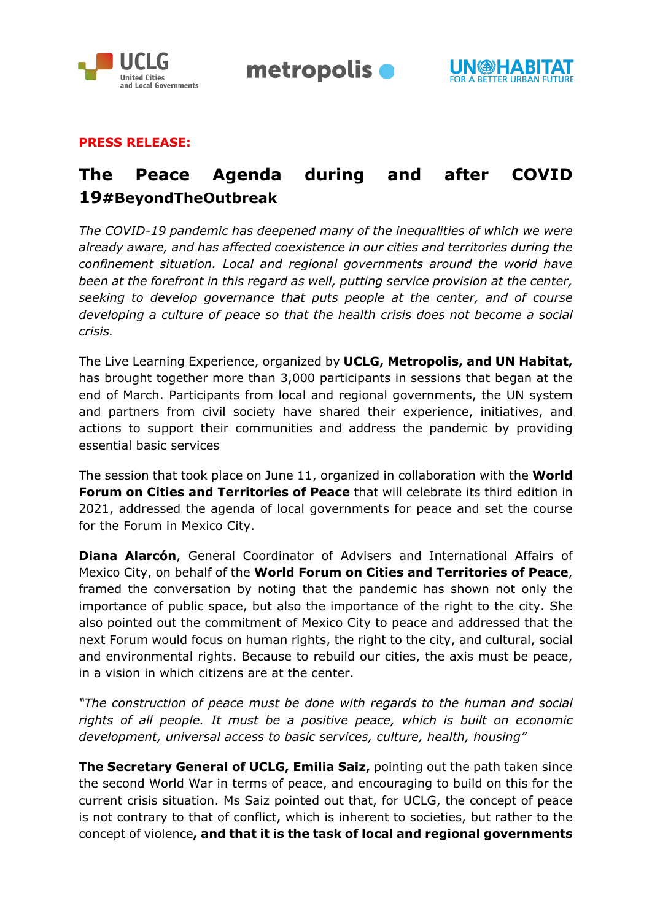

metropolis •



## **PRESS RELEASE:**

# **The Peace Agenda during and after COVID 19#BeyondTheOutbreak**

*The COVID-19 pandemic has deepened many of the inequalities of which we were already aware, and has affected coexistence in our cities and territories during the confinement situation. Local and regional governments around the world have been at the forefront in this regard as well, putting service provision at the center, seeking to develop governance that puts people at the center, and of course developing a culture of peace so that the health crisis does not become a social crisis.*

The Live Learning Experience, organized by **UCLG, Metropolis, and UN Habitat,**  has brought together more than 3,000 participants in sessions that began at the end of March. Participants from local and regional governments, the UN system and partners from civil society have shared their experience, initiatives, and actions to support their communities and address the pandemic by providing essential basic services

The session that took place on June 11, organized in collaboration with the **World Forum on Cities and Territories of Peace** that will celebrate its third edition in 2021, addressed the agenda of local governments for peace and set the course for the Forum in Mexico City.

**Diana Alarcón**, General Coordinator of Advisers and International Affairs of Mexico City, on behalf of the **World Forum on Cities and Territories of Peace**, framed the conversation by noting that the pandemic has shown not only the importance of public space, but also the importance of the right to the city. She also pointed out the commitment of Mexico City to peace and addressed that the next Forum would focus on human rights, the right to the city, and cultural, social and environmental rights. Because to rebuild our cities, the axis must be peace, in a vision in which citizens are at the center.

*"The construction of peace must be done with regards to the human and social rights of all people. It must be a positive peace, which is built on economic development, universal access to basic services, culture, health, housing"* 

**The Secretary General of UCLG, Emilia Saiz,** pointing out the path taken since the second World War in terms of peace, and encouraging to build on this for the current crisis situation. Ms Saiz pointed out that, for UCLG, the concept of peace is not contrary to that of conflict, which is inherent to societies, but rather to the concept of violence**, and that it is the task of local and regional governments**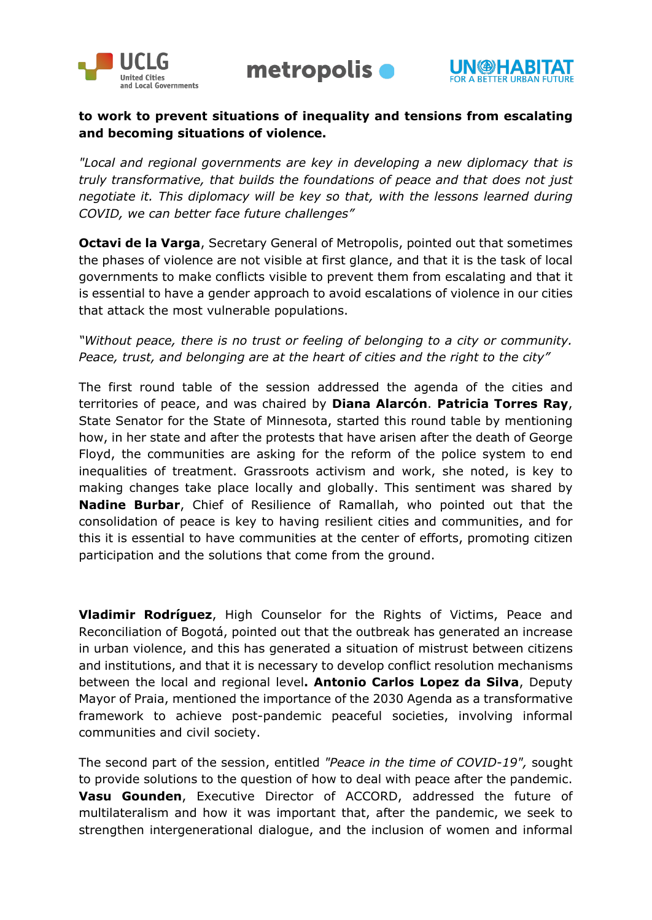



## **to work to prevent situations of inequality and tensions from escalating and becoming situations of violence.**

*"Local and regional governments are key in developing a new diplomacy that is truly transformative, that builds the foundations of peace and that does not just negotiate it. This diplomacy will be key so that, with the lessons learned during COVID, we can better face future challenges"*

**Octavi de la Varga**, Secretary General of Metropolis, pointed out that sometimes the phases of violence are not visible at first glance, and that it is the task of local governments to make conflicts visible to prevent them from escalating and that it is essential to have a gender approach to avoid escalations of violence in our cities that attack the most vulnerable populations.

## *"Without peace, there is no trust or feeling of belonging to a city or community. Peace, trust, and belonging are at the heart of cities and the right to the city"*

The first round table of the session addressed the agenda of the cities and territories of peace, and was chaired by **Diana Alarcón**. **Patricia Torres Ray**, State Senator for the State of Minnesota, started this round table by mentioning how, in her state and after the protests that have arisen after the death of George Floyd, the communities are asking for the reform of the police system to end inequalities of treatment. Grassroots activism and work, she noted, is key to making changes take place locally and globally. This sentiment was shared by **Nadine Burbar**, Chief of Resilience of Ramallah, who pointed out that the consolidation of peace is key to having resilient cities and communities, and for this it is essential to have communities at the center of efforts, promoting citizen participation and the solutions that come from the ground.

**Vladimir Rodríguez**, High Counselor for the Rights of Victims, Peace and Reconciliation of Bogotá, pointed out that the outbreak has generated an increase in urban violence, and this has generated a situation of mistrust between citizens and institutions, and that it is necessary to develop conflict resolution mechanisms between the local and regional level**. Antonio Carlos Lopez da Silva**, Deputy Mayor of Praia, mentioned the importance of the 2030 Agenda as a transformative framework to achieve post-pandemic peaceful societies, involving informal communities and civil society.

The second part of the session, entitled *"Peace in the time of COVID-19",* sought to provide solutions to the question of how to deal with peace after the pandemic. **Vasu Gounden**, Executive Director of ACCORD, addressed the future of multilateralism and how it was important that, after the pandemic, we seek to strengthen intergenerational dialogue, and the inclusion of women and informal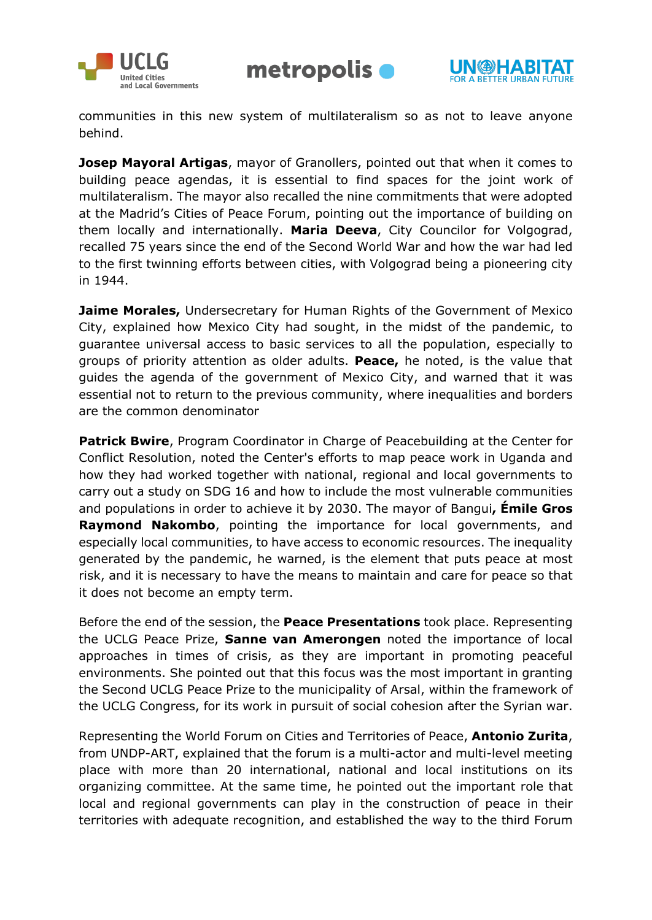





communities in this new system of multilateralism so as not to leave anyone behind.

**Josep Mayoral Artigas**, mayor of Granollers, pointed out that when it comes to building peace agendas, it is essential to find spaces for the joint work of multilateralism. The mayor also recalled the nine commitments that were adopted at the Madrid's Cities of Peace Forum, pointing out the importance of building on them locally and internationally. **Maria Deeva**, City Councilor for Volgograd, recalled 75 years since the end of the Second World War and how the war had led to the first twinning efforts between cities, with Volgograd being a pioneering city in 1944.

**Jaime Morales,** Undersecretary for Human Rights of the Government of Mexico City, explained how Mexico City had sought, in the midst of the pandemic, to guarantee universal access to basic services to all the population, especially to groups of priority attention as older adults. **Peace,** he noted, is the value that guides the agenda of the government of Mexico City, and warned that it was essential not to return to the previous community, where inequalities and borders are the common denominator

**Patrick Bwire**, Program Coordinator in Charge of Peacebuilding at the Center for Conflict Resolution, noted the Center's efforts to map peace work in Uganda and how they had worked together with national, regional and local governments to carry out a study on SDG 16 and how to include the most vulnerable communities and populations in order to achieve it by 2030. The mayor of Bangui**, Émile Gros Raymond Nakombo**, pointing the importance for local governments, and especially local communities, to have access to economic resources. The inequality generated by the pandemic, he warned, is the element that puts peace at most risk, and it is necessary to have the means to maintain and care for peace so that it does not become an empty term.

Before the end of the session, the **Peace Presentations** took place. Representing the UCLG Peace Prize, **Sanne van Amerongen** noted the importance of local approaches in times of crisis, as they are important in promoting peaceful environments. She pointed out that this focus was the most important in granting the Second UCLG Peace Prize to the municipality of Arsal, within the framework of the UCLG Congress, for its work in pursuit of social cohesion after the Syrian war.

Representing the World Forum on Cities and Territories of Peace, **Antonio Zurita**, from UNDP-ART, explained that the forum is a multi-actor and multi-level meeting place with more than 20 international, national and local institutions on its organizing committee. At the same time, he pointed out the important role that local and regional governments can play in the construction of peace in their territories with adequate recognition, and established the way to the third Forum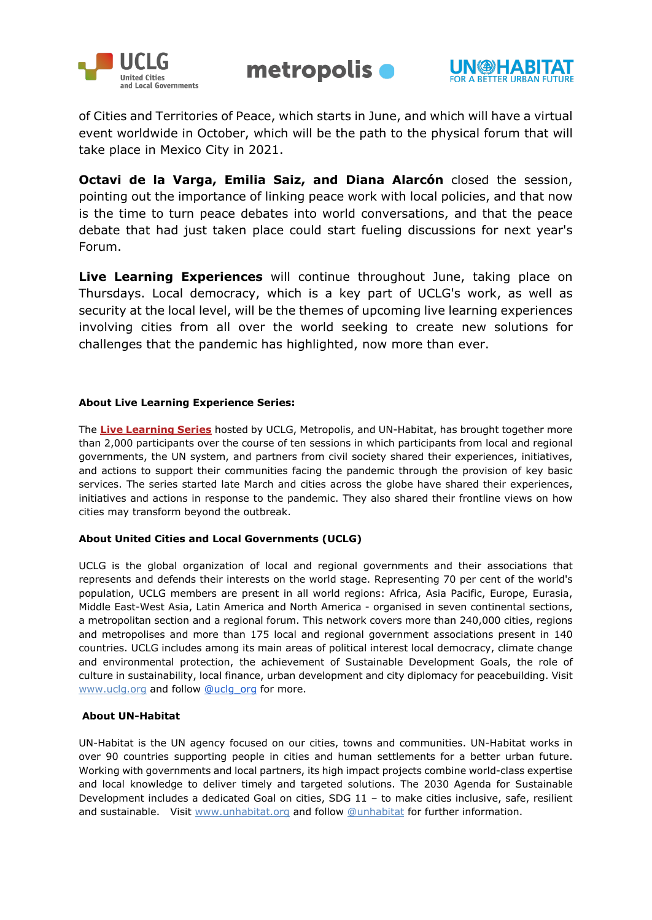





of Cities and Territories of Peace, which starts in June, and which will have a virtual event worldwide in October, which will be the path to the physical forum that will take place in Mexico City in 2021.

**Octavi de la Varga, Emilia Saiz, and Diana Alarcón** closed the session, pointing out the importance of linking peace work with local policies, and that now is the time to turn peace debates into world conversations, and that the peace debate that had just taken place could start fueling discussions for next year's Forum.

**Live Learning Experiences** will continue throughout June, taking place on Thursdays. Local democracy, which is a key part of UCLG's work, as well as security at the local level, will be the themes of upcoming live learning experiences involving cities from all over the world seeking to create new solutions for challenges that the pandemic has highlighted, now more than ever.

### **About Live Learning Experience Series:**

The **[Live Learning Series](https://www.uclg.org/en/issues/live-learning-experience-beyondtheoutbreak)** hosted by UCLG, Metropolis, and UN-Habitat, has brought together more than 2,000 participants over the course of ten sessions in which participants from local and regional governments, the UN system, and partners from civil society shared their experiences, initiatives, and actions to support their communities facing the pandemic through the provision of key basic services. The series started late March and cities across the globe have shared their experiences, initiatives and actions in response to the pandemic. They also shared their frontline views on how cities may transform beyond the outbreak.

### **About United Cities and Local Governments (UCLG)**

UCLG is the global organization of local and regional governments and their associations that represents and defends their interests on the world stage. Representing 70 per cent of the world's population, UCLG members are present in all world regions: Africa, Asia Pacific, Europe, Eurasia, Middle East-West Asia, Latin America and North America - organised in seven continental sections, a metropolitan section and a regional forum. This network covers more than 240,000 cities, regions and metropolises and more than 175 local and regional government associations present in 140 countries. UCLG includes among its main areas of political interest local democracy, climate change and environmental protection, the achievement of Sustainable Development Goals, the role of culture in sustainability, local finance, urban development and city diplomacy for peacebuilding. Visi[t](http://www.uclg.org/) [www.uclg.org](http://www.uclg.org/) and follo[w](https://twitter.com/uclg_org) [@uclg\\_org](https://twitter.com/uclg_org) for more.

#### **About UN-Habitat**

UN-Habitat is the UN agency focused on our cities, towns and communities. UN-Habitat works in over 90 countries supporting people in cities and human settlements for a better urban future. Working with governments and local partners, its high impact projects combine world-class expertise and local knowledge to deliver timely and targeted solutions. The 2030 Agenda for Sustainable Development includes a dedicated Goal on cities, SDG 11 – to make cities inclusive, safe, resilient and sus[t](http://www.unhabitat.org/)ainable. Visit [www.unhabitat.org](http://www.unhabitat.org/) and follow [@unhabitat](https://twitter.com/unhabitat) for further information.